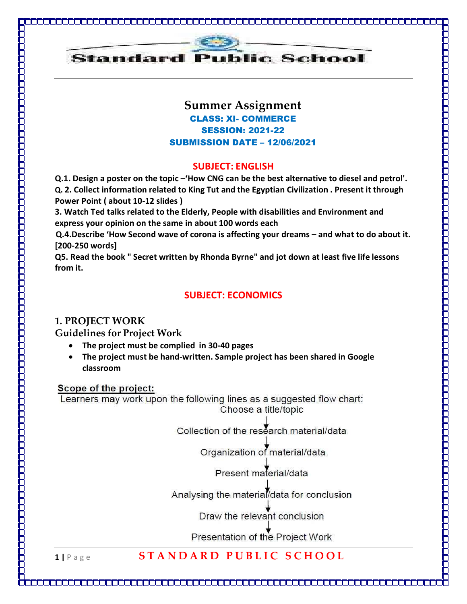

<u>ni njelajni si njelajni si slov</u>

### Summer Assignment CLASS: XI- COMMERCE SESSION: 2021-22 SUBMISSION DATE – 12/06/2021

-----------------------

موارون والموارون والموارون والموارون والموارون والموارون والموارون والموارون والموارون والموارون والموارون والموارين

#### SUBJECT: ENGLISH

Q.1. Design a poster on the topic –'How CNG can be the best alternative to diesel and petrol'.

Q. 2. Collect information related to King Tut and the Egyptian Civilization . Present it through Power Point ( about 10-12 slides )

3. Watch Ted talks related to the Elderly, People with disabilities and Environment and express your opinion on the same in about 100 words each

Q.4.Describe 'How Second wave of corona is affecting your dreams – and what to do about it. [200-250 words]

Q5. Read the book " Secret written by Rhonda Byrne" and jot down at least five life lessons from it.

#### SUBJECT: ECONOMICS

#### 1. PROJECT WORK

Guidelines for Project Work

- The project must be complied in 30-40 pages
- The project must be hand-written. Sample project has been shared in Google classroom

#### Scope of the project:

Learners may work upon the following lines as a suggested flow chart: Choose a title/topic

Collection of the research material/data

Organization of material/data

Present material/data

Analysing the material/data for conclusion

Draw the relevant conclusion

Presentation of the Project Work

# 1 | Page STANDARD PUBLIC SCHOOL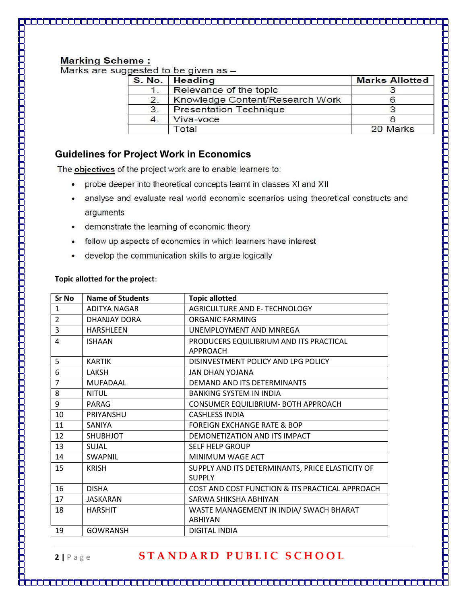#### **Marking Scheme:**

Marks are suggested to be given as -

|                                                     | S. No.   Heading | <b>Marks Allotted</b> |  |
|-----------------------------------------------------|------------------|-----------------------|--|
| Relevance of the topic                              |                  |                       |  |
| Knowledge Content/Research Work<br>$\overline{2}$ . |                  |                       |  |
| 3.<br><b>Presentation Technique</b>                 |                  |                       |  |
|                                                     | Viva-voce        |                       |  |
|                                                     | <b>Total</b>     | 20 Marks              |  |

#### Guidelines for Project Work in Economics

The objectives of the project work are to enable learners to:

- probe deeper into theoretical concepts learnt in classes XI and XII  $\bullet$
- analyse and evaluate real world economic scenarios using theoretical constructs and  $\bullet$ arguments
- demonstrate the learning of economic theory ٠
- follow up aspects of economics in which learners have interest  $\bullet$
- develop the communication skills to argue logically

#### Topic allotted for the project:

| Sr No          | <b>Name of Students</b> | <b>Topic allotted</b>                                      |
|----------------|-------------------------|------------------------------------------------------------|
| 1              | ADITYA NAGAR            | AGRICULTURE AND E-TECHNOLOGY                               |
| $\overline{2}$ | DHANJAY DORA            | ORGANIC FARMING                                            |
| 3              | <b>HARSHLEEN</b>        | UNEMPLOYMENT AND MNREGA                                    |
| 4              | <b>ISHAAN</b>           | PRODUCERS EQUILIBRIUM AND ITS PRACTICAL<br><b>APPROACH</b> |
| 5              | <b>KARTIK</b>           | DISINVESTMENT POLICY AND LPG POLICY                        |
| 6              | LAKSH                   | JAN DHAN YOJANA                                            |
| $\overline{7}$ | <b>MUFADAAL</b>         | DEMAND AND ITS DETERMINANTS                                |
| 8              | <b>NITUL</b>            | <b>BANKING SYSTEM IN INDIA</b>                             |
| 9              | PARAG                   | CONSUMER EQUILIBRIUM- BOTH APPROACH                        |
| 10             | PRIYANSHU               | <b>CASHLESS INDIA</b>                                      |
| 11             | <b>SANIYA</b>           | <b>FOREIGN EXCHANGE RATE &amp; BOP</b>                     |
| 12             | <b>SHUBHJOT</b>         | DEMONETIZATION AND ITS IMPACT                              |
| 13             | SUJAL                   | SELF HELP GROUP                                            |
| 14             | <b>SWAPNIL</b>          | MINIMUM WAGE ACT                                           |
| 15             | <b>KRISH</b>            | SUPPLY AND ITS DETERMINANTS, PRICE ELASTICITY OF           |
|                |                         | <b>SUPPLY</b>                                              |
| 16             | <b>DISHA</b>            | COST AND COST FUNCTION & ITS PRACTICAL APPROACH            |
| 17             | JASKARAN                | SARWA SHIKSHA ABHIYAN                                      |
| 18             | <b>HARSHIT</b>          | WASTE MANAGEMENT IN INDIA/ SWACH BHARAT                    |
|                |                         | <b>ABHIYAN</b>                                             |
| 19             | <b>GOWRANSH</b>         | <b>DIGITAL INDIA</b>                                       |

# 2 | Page STANDARD PUBLIC SCHOOL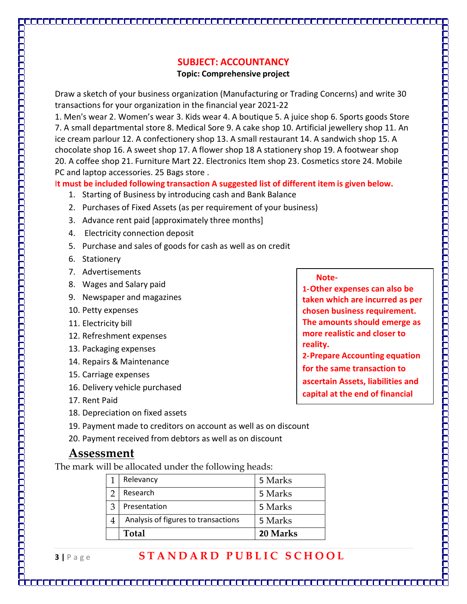# SUBJECT: ACCOUNTANCY

#### Topic: Comprehensive project

Draw a sketch of your business organization (Manufacturing or Trading Concerns) and write 30 transactions for your organization in the financial year 2021-22

1. Men's wear 2. Women's wear 3. Kids wear 4. A boutique 5. A juice shop 6. Sports goods Store 7. A small departmental store 8. Medical Sore 9. A cake shop 10. Artificial jewellery shop 11. An ice cream parlour 12. A confectionery shop 13. A small restaurant 14. A sandwich shop 15. A chocolate shop 16. A sweet shop 17. A flower shop 18 A stationery shop 19. A footwear shop 20. A coffee shop 21. Furniture Mart 22. Electronics Item shop 23. Cosmetics store 24. Mobile PC and laptop accessories. 25 Bags store .

It must be included following transaction A suggested list of different item is given below.

- 1. Starting of Business by introducing cash and Bank Balance
- 2. Purchases of Fixed Assets (as per requirement of your business)
- 3. Advance rent paid [approximately three months]
- 4. Electricity connection deposit
- 5. Purchase and sales of goods for cash as well as on credit
- 6. Stationery
- 7. Advertisements
- 8. Wages and Salary paid
- 9. Newspaper and magazines
- 10. Petty expenses
- 11. Electricity bill
- 12. Refreshment expenses
- 13. Packaging expenses
- 14. Repairs & Maintenance
- 15. Carriage expenses
- 16. Delivery vehicle purchased
- 17. Rent Paid
- 18. Depreciation on fixed assets
- 19. Payment made to creditors on account as well as on discount
- 20. Payment received from debtors as well as on discount

# Assessment

The mark will be allocated under the following heads:

| Presentation<br>Analysis of figures to transactions | 5 Marks<br>5 Marks |
|-----------------------------------------------------|--------------------|
|                                                     |                    |

# 3 | Page STANDARD PUBLIC SCHOOL

Note-

1-Other expenses can also be taken which are incurred as per chosen business requirement. The amounts should emerge as more realistic and closer to reality.

موارين والوارون والوارون والوارون والوارون والوارون والوارون والوارون والوارون والوارون والوارون والوارون والوارون

2-Prepare Accounting equation for the same transaction to ascertain Assets, liabilities and capital at the end of financial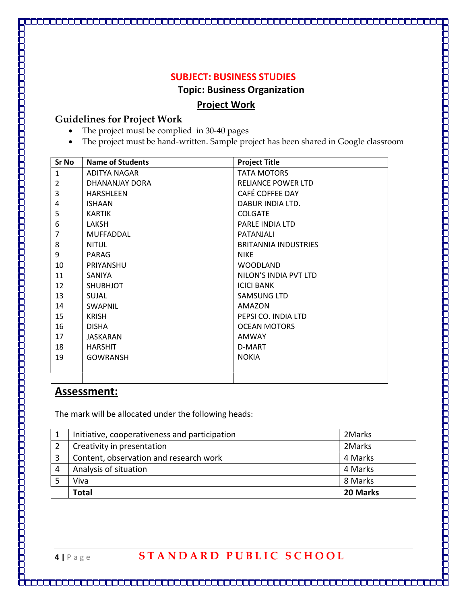#### SUBJECT: BUSINESS STUDIES

Topic: Business Organization

TE E E E E E E E

#### Project Work

#### Guidelines for Project Work

- The project must be complied in 30-40 pages
- The project must be hand-written. Sample project has been shared in Google classroom

| <b>Sr No</b>   | Name of Students | <b>Project Title</b>        |
|----------------|------------------|-----------------------------|
| $\mathbf{1}$   | ADITYA NAGAR     | <b>TATA MOTORS</b>          |
| $\overline{2}$ | DHANANJAY DORA   | <b>RELIANCE POWER LTD</b>   |
| 3              | <b>HARSHLEEN</b> | CAFÉ COFFEE DAY             |
| 4              | <b>ISHAAN</b>    | DABUR INDIA LTD.            |
| 5              | <b>KARTIK</b>    | <b>COLGATE</b>              |
| 6              | LAKSH            | <b>PARLE INDIA LTD</b>      |
| $\overline{7}$ | MUFFADDAL        | PATANJALI                   |
| 8              | NITUL            | <b>BRITANNIA INDUSTRIES</b> |
| 9              | PARAG            | <b>NIKE</b>                 |
| 10             | PRIYANSHU        | <b>WOODLAND</b>             |
| 11             | SANIYA           | NILON'S INDIA PVT LTD       |
| 12             | <b>SHUBHJOT</b>  | <b>ICICI BANK</b>           |
| 13             | <b>SUJAL</b>     | SAMSUNG LTD                 |
| 14             | <b>SWAPNIL</b>   | AMAZON                      |
| 15             | <b>KRISH</b>     | PEPSI CO. INDIA LTD         |
| 16             | <b>DISHA</b>     | <b>OCEAN MOTORS</b>         |
| 17             | <b>JASKARAN</b>  | <b>AMWAY</b>                |
| 18             | <b>HARSHIT</b>   | D-MART                      |
| 19             | <b>GOWRANSH</b>  | <b>NOKIA</b>                |
|                |                  |                             |
|                |                  |                             |

# Assessment:

The mark will be allocated under the following heads:

| Viva                                          | 8 Marks |
|-----------------------------------------------|---------|
|                                               |         |
| Analysis of situation                         | 4 Marks |
| Content, observation and research work        | 4 Marks |
| Creativity in presentation                    | 2Marks  |
| Initiative, cooperativeness and participation | 2Marks  |
|                                               |         |

Ħ

# 4 | Page STANDARD PUBLIC SCHOOL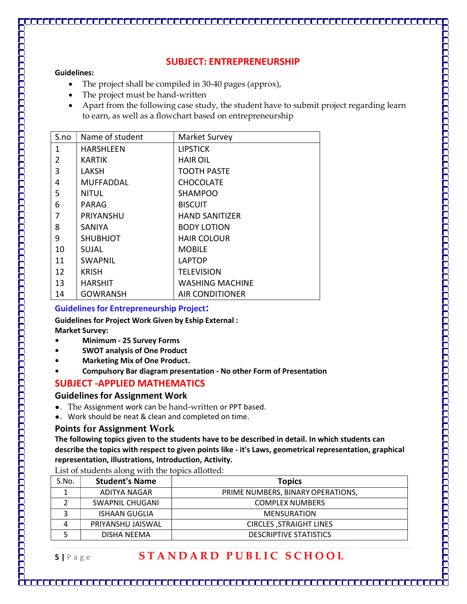#### SUBJECT: ENTREPRENEURSHIP

ودود والمواد والمواد والمواد والمواد والمواد والمواد والمواد والمواد والمواد والمواد والمواد والمواد والمواد والموادد

#### Guidelines:

- The project shall be compiled in 30-40 pages (approx),
- The project must be hand-written
- Apart from the following case study, the student have to submit project regarding learn to earn, as well as a flowchart based on entrepreneurship

| S.no         | Name of student | Market Survey          |
|--------------|-----------------|------------------------|
| $\mathbf{1}$ | HARSHLEEN       | <b>LIPSTICK</b>        |
| 2            | <b>KARTIK</b>   | <b>HAIR OIL</b>        |
| 3            | LAKSH           | <b>TOOTH PASTE</b>     |
| 4            | MUFFADDAL       | <b>CHOCOLATE</b>       |
| 5            | <b>NITUL</b>    | SHAMPOO                |
| 6            | <b>PARAG</b>    | <b>BISCUIT</b>         |
| 7            | PRIYANSHU       | <b>HAND SANITIZER</b>  |
| 8            | <b>SANIYA</b>   | <b>BODY LOTION</b>     |
| 9            | <b>SHUBHJOT</b> | <b>HAIR COLOUR</b>     |
| 10           | SUJAL           | <b>MOBILE</b>          |
| 11           | <b>SWAPNIL</b>  | <b>LAPTOP</b>          |
| 12           | <b>KRISH</b>    | <b>TELEVISION</b>      |
| 13           | <b>HARSHIT</b>  | <b>WASHING MACHINE</b> |
| 14           | <b>GOWRANSH</b> | AIR CONDITIONER        |

#### Guidelines for Entrepreneurship Project:

Guidelines for Project Work Given by Eship External :

Market Survey:

- Minimum 25 Survey Forms
- SWOT analysis of One Product
- Marketing Mix of One Product.
- Compulsory Bar diagram presentation No other Form of Presentation

# SUBJECT -APPLIED MATHEMATICS

### Guidelines for Assignment Work

- ●. The Assignment work can be hand-written or PPT based.
- ●. Work should be neat & clean and completed on time.

### Points for Assignment Work

The following topics given to the students have to be described in detail. In which students can describe the topics with respect to given points like - it's Laws, geometrical representation, graphical representation, illustrations, Introduction, Activity.

List of students along with the topics allotted:

| S.No. | <b>Student's Name</b> | <b>Topics</b>                     |  |
|-------|-----------------------|-----------------------------------|--|
|       | ADITYA NAGAR          | PRIME NUMBERS, BINARY OPERATIONS, |  |
|       | SWAPNIL CHUGANI       | <b>COMPLEX NUMBERS</b>            |  |
|       | <b>ISHAAN GUGLIA</b>  | <b>MENSURATION</b>                |  |
| 4     | PRIYANSHU JAISWAL     | <b>CIRCLES, STRAIGHT LINES</b>    |  |
|       | DISHA NEEMA           | <b>DESCRIPTIVE STATISTICS</b>     |  |

# 5 | Page STANDARD PUBLIC SCHOOL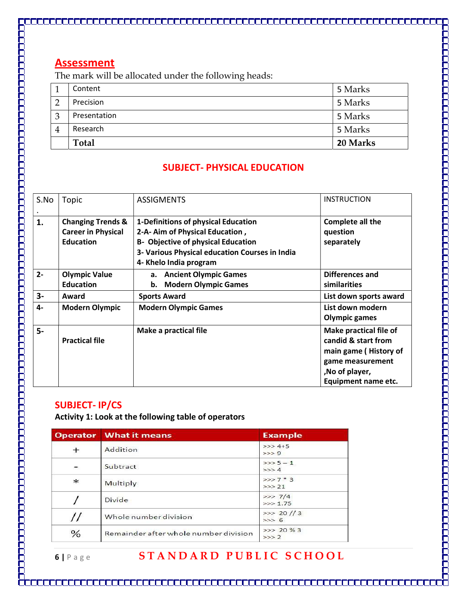The mark will be allocated under the following heads:

|   | Total        | 20 Marks |
|---|--------------|----------|
| 4 | Research     | 5 Marks  |
| 3 | Presentation | 5 Marks  |
|   | Precision    | 5 Marks  |
|   | Content      | 5 Marks  |

### SUBJECT- PHYSICAL EDUCATION

| S.No           | Topic                                                                         | <b>ASSIGMENTS</b>                                                                                                                                                                               | <b>INSTRUCTION</b>                                                                                                                  |
|----------------|-------------------------------------------------------------------------------|-------------------------------------------------------------------------------------------------------------------------------------------------------------------------------------------------|-------------------------------------------------------------------------------------------------------------------------------------|
| 1.             | <b>Changing Trends &amp;</b><br><b>Career in Physical</b><br><b>Education</b> | 1-Definitions of physical Education<br>2-A- Aim of Physical Education,<br><b>B- Objective of physical Education</b><br>3- Various Physical education Courses in India<br>4- Khelo India program | Complete all the<br>question<br>separately                                                                                          |
| $2 -$          | <b>Olympic Value</b><br><b>Education</b>                                      | a. Ancient Olympic Games<br><b>Modern Olympic Games</b><br>b.                                                                                                                                   | Differences and<br>similarities                                                                                                     |
| $3-$           | Award                                                                         | <b>Sports Award</b>                                                                                                                                                                             | List down sports award                                                                                                              |
| $4-$           | <b>Modern Olympic</b>                                                         | <b>Modern Olympic Games</b>                                                                                                                                                                     | List down modern<br><b>Olympic games</b>                                                                                            |
| $\overline{5}$ | <b>Practical file</b>                                                         | Make a practical file                                                                                                                                                                           | Make practical file of<br>candid & start from<br>main game (History of<br>game measurement<br>,No of player,<br>Equipment name etc. |

## SUBJECT- IP/CS

כימים מכונים ממנים מכונים מכונים ממנים מכונים מכונים מכונים מכונים מכונים מכונים מכונים מכונים מכונים מכונים

Activity 1: Look at the following table of operators

|        | <b>Operator</b> What it means         | <b>Example</b>       |
|--------|---------------------------------------|----------------------|
| $+$    | Addition                              | $>> 4+5$<br>$>>$ 9   |
|        | Subtract                              | $>>$ 5 - 1<br>>> 4   |
| $\ast$ | Multiply                              | $>>>7*3$<br>$>>$ 21  |
|        | Divide                                | >> 7/4<br>>> 1.75    |
|        | Whole number division                 | >> 20 //3<br>$>>$ 6  |
| %      | Remainder after whole number division | $>> 20 \%$ 3<br>>>>2 |

# 6 | Page STANDARD PUBLIC SCHOOL

<u> 1969 - 1969 - 1969 - 1969 - 1969 - 1969 - 1969 - 1969 - 1969 - 1969 - 1969 - 1969 - 1969 - 1969 - 1969 - 196</u>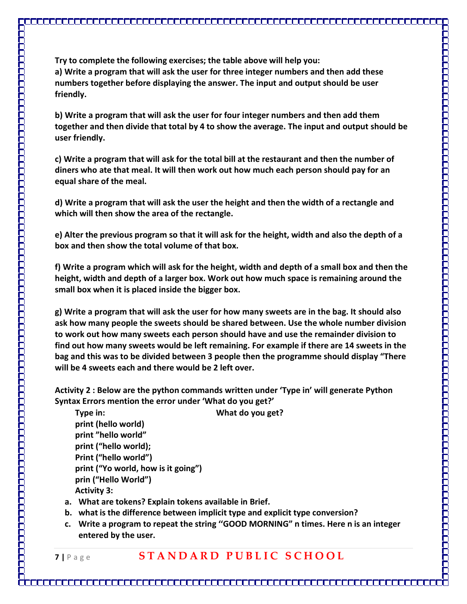a) Write a program that will ask the user for three integer numbers and then add these numbers together before displaying the answer. The input and output should be user friendly.

b) Write a program that will ask the user for four integer numbers and then add them together and then divide that total by 4 to show the average. The input and output should be user friendly.

c) Write a program that will ask for the total bill at the restaurant and then the number of diners who ate that meal. It will then work out how much each person should pay for an equal share of the meal.

d) Write a program that will ask the user the height and then the width of a rectangle and which will then show the area of the rectangle.

e) Alter the previous program so that it will ask for the height, width and also the depth of a box and then show the total volume of that box.

f) Write a program which will ask for the height, width and depth of a small box and then the height, width and depth of a larger box. Work out how much space is remaining around the small box when it is placed inside the bigger box.

g) Write a program that will ask the user for how many sweets are in the bag. It should also ask how many people the sweets should be shared between. Use the whole number division to work out how many sweets each person should have and use the remainder division to find out how many sweets would be left remaining. For example if there are 14 sweets in the bag and this was to be divided between 3 people then the programme should display "There will be 4 sweets each and there would be 2 left over.

Activity 2 : Below are the python commands written under 'Type in' will generate Python Syntax Errors mention the error under 'What do you get?'

Type in: What do you get? print (hello world) print "hello world" print ("hello world); Print ("hello world") print ("Yo world, how is it going") prin ("Hello World") Activity 3:

- a. What are tokens? Explain tokens available in Brief.
- b. what is the difference between implicit type and explicit type conversion?
- c. Write a program to repeat the string ''GOOD MORNING" n times. Here n is an integer entered by the user.

7 | Page STANDARD PUBLIC SCHOOL